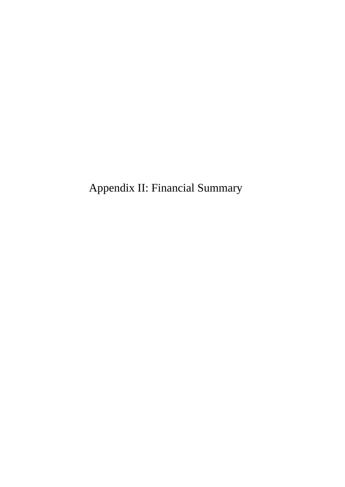Appendix II: Financial Summary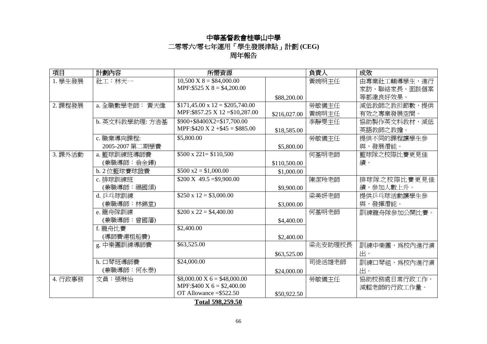# 中華基督教會桂華山中學 二零零六**/**零七年運用「學生發展津貼 「學生發展津貼」計劃 **(CEG)**  周年報告

| 項目      | 計劃內容            | 所需資源                                  |              | 負責人     | 成效           |  |
|---------|-----------------|---------------------------------------|--------------|---------|--------------|--|
| 1. 學生發展 | 社工:林天一          | $10,500 \text{ X } 8 = $84,000.00$    |              | 黃婉明主任   | 由專業社工輔導學生,進行 |  |
|         |                 | MPF: $$525 X 8 = $4,200.00$           |              |         | 家訪、聯絡家長、面談個案 |  |
|         |                 |                                       | \$88,200.00  |         | 等都達良好效果。     |  |
| 2. 課程發展 | a. 全職數學老師: 黃天偉  | $$171,45.00 \times 12 = $205,740.00$  |              | 勞敏儀主任   | 減低教師之教担節數,提供 |  |
|         |                 | MPF: \$857.25 X 12= \$10,287.00       | \$216,027.00 | 黃婉明主任   | 有效之專業發展空間。   |  |
|         | b. 英文科教學助理: 方浩基 | \$900+\$8400X2=\$17,700.00            |              | 李靜雯主任   | 協助製作英文科教材,減低 |  |
|         |                 | MPF:\$420 X 2 + \$45 = \$885.00       | \$18,585.00  |         | 英語教師之教擔。     |  |
|         | c. 職業導向課程:      | \$5,800.00                            |              | 勞敏儀主任   | 提供不同的課程讓學生參  |  |
|         | 2005-2007 第二期學費 |                                       | \$5,800.00   |         | 與,發展潛能。      |  |
| 3. 課外活動 | a. 籃球訓練班導師費     | $$500 \times 221 = $110,500$          |              | 何基明老師   | 籃球隊之校際比賽更見佳  |  |
|         | (兼職導師:翁金鏵)      |                                       | \$110,500.00 |         | 績。           |  |
|         | b. 2 位籃球賽球證費    | $$500 x2 = $1,000.00$                 | \$1,000.00   |         |              |  |
|         | c. 排球訓練班        | $$200 X 49.5 = $9,900.00$             |              | 陳潔玲老師   | 排球隊之校際比賽更見佳  |  |
|         | (兼職導師: 福國頌)     |                                       | \$9,900.00   |         | 績,參加人數上升。    |  |
|         | d. 乒乓球訓練        | $$250 \times 12 = $3,000.00$          |              | 梁美妍老師   | 提供乒乓球活動讓學生參  |  |
|         | (兼職導師:林錦堂)      |                                       | \$3,000.00   |         | 與,發揮潛能。      |  |
|         | e. 龍舟隊訓練        | $$200 \times 22 = $4,400.00$          |              | 何基明老師   | 訓練龍舟隊參加公開比賽。 |  |
|         | (兼職導師:曾國藩)      |                                       | \$4,400.00   |         |              |  |
|         | f. 龍舟比賽         | \$2,400.00                            |              |         |              |  |
|         | (導師費連租船費)       |                                       | \$2,400.00   |         |              |  |
|         | g. 中樂團訓練導師費     | \$63,525.00                           |              | 梁兆安助理校長 | 訓練中樂團,爲校內進行演 |  |
|         |                 |                                       | \$63,525.00  |         | 出。           |  |
|         | h. 口琴班導師費       | \$24,000.00                           |              | 司徒活雄老師  | 訓練口琴組,為校內進行演 |  |
|         | (兼職導師:何永泰)      |                                       | \$24,000.00  |         | 出。           |  |
| 4. 行政事務 | 文員:張琳怡          | $$8,000.00 \text{ X } 6 = $48,000.00$ |              | 勞敏儀主任   | 協助校務處日常行政工作, |  |
|         |                 | MPF: \$400 X 6 = \$2,400.00           |              |         | 減輕老師的行政工作量。  |  |
|         |                 | OT Allowance $= $522.50$              | \$50,922.50  |         |              |  |

**Total 598,259.50**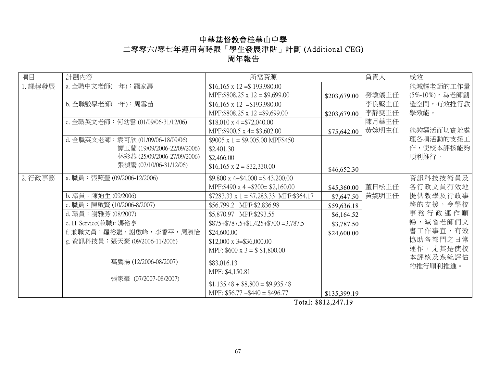# 中華基督教會桂華山中學 二零零六/零七年運用有時限「學生發展津貼」計劃 (Additional CEG) 周年報告

| 項目      | 計劃內容                               | 所需資源                                                 |              | 負責人   | 成效            |
|---------|------------------------------------|------------------------------------------------------|--------------|-------|---------------|
| 1. 課程發展 | a. 全職中文老師(一年): 羅家壽                 | $$16,165 \times 12 = $193,980.00$                    |              |       | 能減輕老師的工作量     |
|         |                                    | MPF:\$808.25 x 12 = \$9,699.00                       | \$203,679.00 | 勞敏儀主任 | (5%-10%),為老師創 |
|         | b. 全職數學老師(一年): 周雪苗                 | $$16,165 \times 12 = $193,980.00$                    |              | 李良堅主任 | 造空間,有效推行教     |
|         |                                    | MPF:\$808.25 x 12=\$9,699.00                         | \$203,679.00 | 李靜雯主任 | 學效能。          |
|         | c. 全職英文老師: 何幼雲 (01/09/06-31/12/06) | $$18,010 \times 4 = $72,040.00$                      |              | 陳月華主任 |               |
|         |                                    | MPF: \$900.5 x 4 = $$3,602.00$                       | \$75,642.00  | 黃婉明主任 | 能夠靈活而切實地處     |
|         | d. 全職英文老師: 袁可欣 (01/09/06-18/09/06) | $$9005 \times 1 = $9,005.00 \text{ MPF} $450$        |              |       | 理各項活動的支援工     |
|         | 譚玉蘭 (19/09/2006-22/09/2006)        | \$2,401.30                                           |              |       | 作,使校本評核能夠     |
|         | 林彩燕 (25/09/2006-27/09/2006)        | \$2,466.00                                           |              |       | 順利推行。         |
|         | 張禎鸞 (02/10/06-31/12/06)            | $$16,165 \times 2 = $32,330.00$                      | \$46,652.30  |       |               |
| 2. 行政事務 | a. 職員:張照瑩 (09/2006-12/2006)        | $$9,800 \times 4 + $4,000 = $43,200.00$              |              |       | 資訊科技技術員及      |
|         |                                    | MPF:\$490 x 4 + \$200 = \$2,160.00                   | \$45,360.00  | 董日松主任 | 各行政文員有效地      |
|         | b. 職員:陳迪生 (09/2006)                | $$7283.33 \times 1 = $7,283.33 \text{ MPF}:\$364.17$ | \$7,647.50   | 黃婉明主任 | 提供教學及行政事      |
|         | c. 職員: 陳啟賢 (10/2006-8/2007)        | \$56,799.2 MPF:\$2,836.98                            | \$59,636.18  |       | 務的支援, 令學校     |
|         | d. 職員: 謝雅芳 (08/2007)               | \$5,870.97 MPF:\$293.55                              | \$6,164.52   |       | 事務行政運作順       |
|         | e. IT Service(兼職): 馮裕亨             | $$875 + $787.5 + $1,425 + $700 = 3,787.5$            | \$3,787.50   |       | 暢,減省老師們文      |
|         | f. 兼職文員:羅裕龍,謝啟峰,李香平,周淑怡            | \$24,600.00                                          | \$24,600.00  |       | 書工作事宜,有效      |
|         | g. 資訊科技員:張天豪 (09/2006-11/2006)     | $$12,000 \times 3 = $36,000.00$                      |              |       | 協助各部門之日常      |
|         |                                    | MPF: $$600 \times 3 = $1,800.00$                     |              |       | 運作,尤其是使校      |
|         | 萬鷹揚 (12/2006-08/2007)              | \$83,016.13                                          |              |       | 本評核及系統評估      |
|         |                                    | MPF: \$4,150.81                                      |              |       | 的推行順利推進。      |
|         | 張家豪 (07/2007-08/2007)              |                                                      |              |       |               |
|         |                                    | $$1,135.48 + $8,800 = $9,935.48$                     |              |       |               |
|         |                                    | MPF: $$56.77 + $440 = $496.77$                       | \$135,399.19 |       |               |

Total: \$812,247.19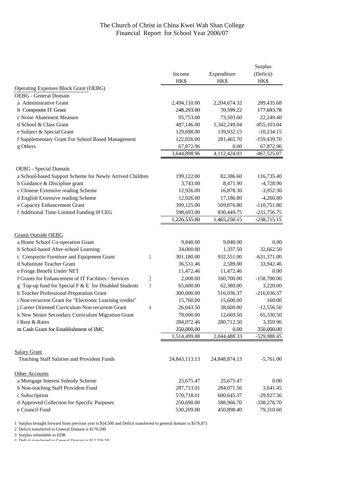### The Church of Christ in China Kwei Wah Shan College Financial Report for School Year 2006/07

|                                                            |               |               | Surplus        |
|------------------------------------------------------------|---------------|---------------|----------------|
|                                                            | Income        | Expenditure   | (Deficit)      |
|                                                            | HK\$          | HK\$          | HK\$           |
| <b>Operating Expenses Block Grant (OEBG)</b>               |               |               |                |
| <b>OEBG</b> - General Domain                               |               |               |                |
| a Administrative Grant                                     | 2,494,110.00  | 2,204,674.32  | 289,435.68     |
| b Composite IT Grant                                       | 248,293.00    | 70,599.22     | 177,693.78     |
| c Noise Abatement Measure                                  | 95,753.00     | 73,503.60     | 22,249.40      |
| d School & Class Grant                                     | 487,146.00    | 1,342,249.04  | $-855, 103.04$ |
| e Subject & Special Grant                                  | 129,698.00    | 139,932.15    | $-10,234.15$   |
| f Supplementary Grant For School Based Management          | 122,026.00    | 281,465.70    | $-159,439.70$  |
| g Others                                                   | 67,872.96     | 0.00          | 67,872.96      |
|                                                            | 3,644,898.96  | 4,112,424.03  | $-467,525.07$  |
| OEBG - Special Domain                                      |               |               |                |
| a School-based Support Scheme for Newly Arrived Children   | 199,122.00    | 82,386.60     | 116,735.40     |
| b Guidance & Discipline grant                              | 3,743.00      | 8,471.90      | $-4,728.90$    |
| c Chinese Extensive reading Scheme                         | 12,926.00     | 16,878.30     | $-3,952.30$    |
| d English Extensive reading Scheme                         | 12,926.00     | 17,186.80     | $-4,260.80$    |
| e Capacity Enhancement Grant                               | 399,125.00    | 509,876.80    | $-110,751.80$  |
| f Additional Time-Limited Funding Of CEG                   | 598,693.00    | 830,449.75    | $-231,756.75$  |
|                                                            | 1,226,535.00  | 1,465,250.15  | $-238,715.15$  |
|                                                            |               |               |                |
| <b>Grants Outside OEBG</b>                                 |               |               |                |
| a Home School Co-operation Grant                           | 9,840.00      | 9,840.00      | 0.00           |
| b School-based After-school Learning                       | 34,000.00     | 1,337.50      | 32,662.50      |
| c Composite Furniture and Equipment Grant<br>1             | 301,180.00    | 932,551.00    | $-631,371.00$  |
| d Substitute Teacher Grant                                 | 36,531.46     | 2,589.00      | 33,942.46      |
| e Fringe Benefit Under NET                                 | 11,472.46     | 11,472.46     | 0.00           |
| f Grants for Enhancement of IT Facilities / Services<br>2  | 2,000.00      | 160,700.00    | $-158,700.00$  |
| 3<br>g Top-up fund for Special F & E for Disabled Students | 65,600.00     | 62,380.00     | 3,220.00       |
| h Teacher Professional Preparation Grant                   | 300,000.00    | 516,036.37    | $-216,036.37$  |
| i Non-recurrent Grant for "Electronic Learning credits"    | 15,760.00     | 15,600.00     | 160.00         |
| j Career Oriented Curriculum Non-recurrent Grant<br>4      | 26,043.50     | 38,600.00     | $-12,556.50$   |
| k New Senior Secondary Curriculum Migration Grant          | 78,000.00     | 12,669.50     | 65,330.50      |
| 1 Rent & Rates                                             | 284,072.46    | 280,712.50    | 3,359.96       |
| m Cash Grant for Establishment of IMC                      | 350,000.00    | 0.00          | 350,000.00     |
|                                                            | 1,514,499.88  | 2,044,488.33  | -529,988.45    |
|                                                            |               |               |                |
| <b>Salary Grant</b>                                        |               |               |                |
| Teaching Staff Salaries and Provident Funds                | 24,843,113.13 | 24,848,874.13 | $-5,761.00$    |
| Other Accounts                                             |               |               |                |
| a Mortgage Interest Subsidy Scheme                         | 25,675.47     | 25,675.47     | 0.00           |
| b Non-teaching Staff Provident Fund                        | 287,713.01    | 284,071.56    | 3,641.45       |
| c Subscription                                             | 570,718.01    | 600,645.37    | $-29,927.36$   |
| d Approved Collection for Specific Purposes                | 250,690.00    | 588,966.70    | -338,276.70    |
| e Council Fund                                             | 530,209.00    | 450,898.40    | 79,310.60      |

1 Surplus brought forward from previous year is \$54,500 and Deficit transferred to general domain is \$576,871

2 Deficit transferred to General Domain is \$170,500

3 Surplus refundable to EDB

4 Deficit transferred to General Domain is  $$19,556,50$